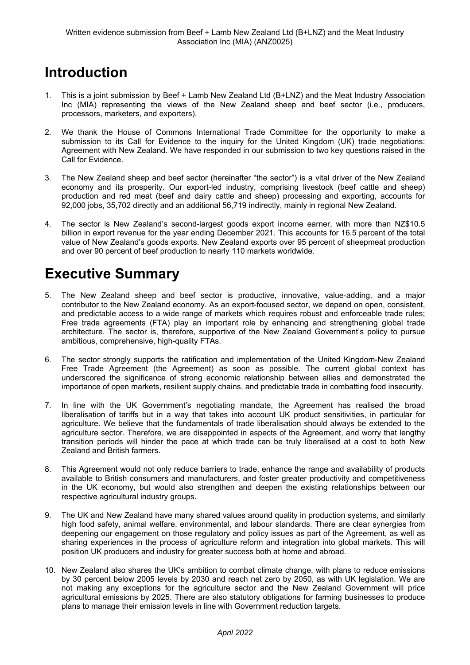## **Introduction**

- 1. This is a joint submission by Beef + Lamb New Zealand Ltd (B+LNZ) and the Meat Industry Association Inc (MIA) representing the views of the New Zealand sheep and beef sector (i.e., producers, processors, marketers, and exporters).
- 2. We thank the House of Commons International Trade Committee for the opportunity to make a submission to its Call for Evidence to the inquiry for the United Kingdom (UK) trade negotiations: Agreement with New Zealand. We have responded in our submission to two key questions raised in the Call for Evidence.
- 3. The New Zealand sheep and beef sector (hereinafter "the sector") is a vital driver of the New Zealand economy and its prosperity. Our export-led industry, comprising livestock (beef cattle and sheep) production and red meat (beef and dairy cattle and sheep) processing and exporting, accounts for 92,000 jobs, 35,702 directly and an additional 56,719 indirectly, mainly in regional New Zealand.
- 4. The sector is New Zealand's second-largest goods export income earner, with more than NZ\$10.5 billion in export revenue for the year ending December 2021. This accounts for 16.5 percent of the total value of New Zealand's goods exports. New Zealand exports over 95 percent of sheepmeat production and over 90 percent of beef production to nearly 110 markets worldwide.

# **Executive Summary**

- 5. The New Zealand sheep and beef sector is productive, innovative, value-adding, and a major contributor to the New Zealand economy. As an export-focused sector, we depend on open, consistent, and predictable access to a wide range of markets which requires robust and enforceable trade rules; Free trade agreements (FTA) play an important role by enhancing and strengthening global trade architecture. The sector is, therefore, supportive of the New Zealand Government's policy to pursue ambitious, comprehensive, high-quality FTAs.
- 6. The sector strongly supports the ratification and implementation of the United Kingdom-New Zealand Free Trade Agreement (the Agreement) as soon as possible. The current global context has underscored the significance of strong economic relationship between allies and demonstrated the importance of open markets, resilient supply chains, and predictable trade in combatting food insecurity.
- 7. In line with the UK Government's negotiating mandate, the Agreement has realised the broad liberalisation of tariffs but in a way that takes into account UK product sensitivities, in particular for agriculture. We believe that the fundamentals of trade liberalisation should always be extended to the agriculture sector. Therefore, we are disappointed in aspects of the Agreement, and worry that lengthy transition periods will hinder the pace at which trade can be truly liberalised at a cost to both New Zealand and British farmers.
- 8. This Agreement would not only reduce barriers to trade, enhance the range and availability of products available to British consumers and manufacturers, and foster greater productivity and competitiveness in the UK economy, but would also strengthen and deepen the existing relationships between our respective agricultural industry groups.
- 9. The UK and New Zealand have many shared values around quality in production systems, and similarly high food safety, animal welfare, environmental, and labour standards. There are clear synergies from deepening our engagement on those regulatory and policy issues as part of the Agreement, as well as sharing experiences in the process of agriculture reform and integration into global markets. This will position UK producers and industry for greater success both at home and abroad.
- 10. New Zealand also shares the UK's ambition to combat climate change, with plans to reduce emissions by 30 percent below 2005 levels by 2030 and reach net zero by 2050, as with UK legislation. We are not making any exceptions for the agriculture sector and the New Zealand Government will price agricultural emissions by 2025. There are also statutory obligations for farming businesses to produce plans to manage their emission levels in line with Government reduction targets.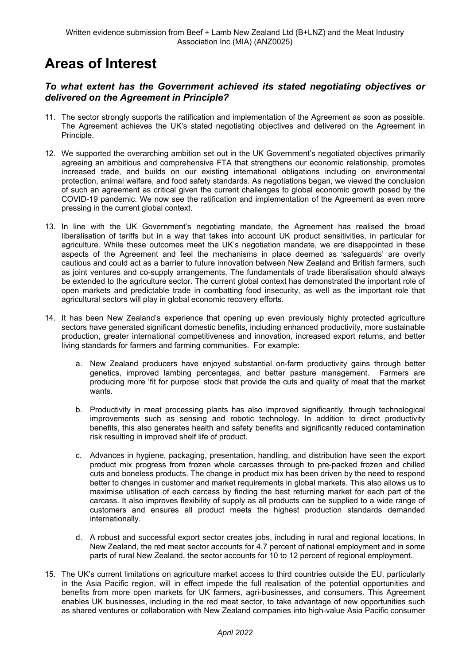## **Areas of Interest**

### *To what extent has the Government achieved its stated negotiating objectives or delivered on the Agreement in Principle?*

- 11. The sector strongly supports the ratification and implementation of the Agreement as soon as possible. The Agreement achieves the UK's stated negotiating objectives and delivered on the Agreement in Principle.
- 12. We supported the overarching ambition set out in the UK Government's negotiated objectives primarily agreeing an ambitious and comprehensive FTA that strengthens our economic relationship, promotes increased trade, and builds on our existing international obligations including on environmental protection, animal welfare, and food safety standards. As negotiations began, we viewed the conclusion of such an agreement as critical given the current challenges to global economic growth posed by the COVID-19 pandemic. We now see the ratification and implementation of the Agreement as even more pressing in the current global context.
- 13. In line with the UK Government's negotiating mandate, the Agreement has realised the broad liberalisation of tariffs but in a way that takes into account UK product sensitivities, in particular for agriculture. While these outcomes meet the UK's negotiation mandate, we are disappointed in these aspects of the Agreement and feel the mechanisms in place deemed as 'safeguards' are overly cautious and could act as a barrier to future innovation between New Zealand and British farmers, such as joint ventures and co-supply arrangements. The fundamentals of trade liberalisation should always be extended to the agriculture sector. The current global context has demonstrated the important role of open markets and predictable trade in combatting food insecurity, as well as the important role that agricultural sectors will play in global economic recovery efforts.
- 14. It has been New Zealand's experience that opening up even previously highly protected agriculture sectors have generated significant domestic benefits, including enhanced productivity, more sustainable production, greater international competitiveness and innovation, increased export returns, and better living standards for farmers and farming communities. For example:
	- a. New Zealand producers have enjoyed substantial on-farm productivity gains through better genetics, improved lambing percentages, and better pasture management. Farmers are producing more 'fit for purpose' stock that provide the cuts and quality of meat that the market wants.
	- b. Productivity in meat processing plants has also improved significantly, through technological improvements such as sensing and robotic technology. In addition to direct productivity benefits, this also generates health and safety benefits and significantly reduced contamination risk resulting in improved shelf life of product.
	- c. Advances in hygiene, packaging, presentation, handling, and distribution have seen the export product mix progress from frozen whole carcasses through to pre-packed frozen and chilled cuts and boneless products. The change in product mix has been driven by the need to respond better to changes in customer and market requirements in global markets. This also allows us to maximise utilisation of each carcass by finding the best returning market for each part of the carcass. It also improves flexibility of supply as all products can be supplied to a wide range of customers and ensures all product meets the highest production standards demanded internationally.
	- d. A robust and successful export sector creates jobs, including in rural and regional locations. In New Zealand, the red meat sector accounts for 4.7 percent of national employment and in some parts of rural New Zealand, the sector accounts for 10 to 12 percent of regional employment.
- 15. The UK's current limitations on agriculture market access to third countries outside the EU, particularly in the Asia Pacific region, will in effect impede the full realisation of the potential opportunities and benefits from more open markets for UK farmers, agri-businesses, and consumers. This Agreement enables UK businesses, including in the red meat sector, to take advantage of new opportunities such as shared ventures or collaboration with New Zealand companies into high-value Asia Pacific consumer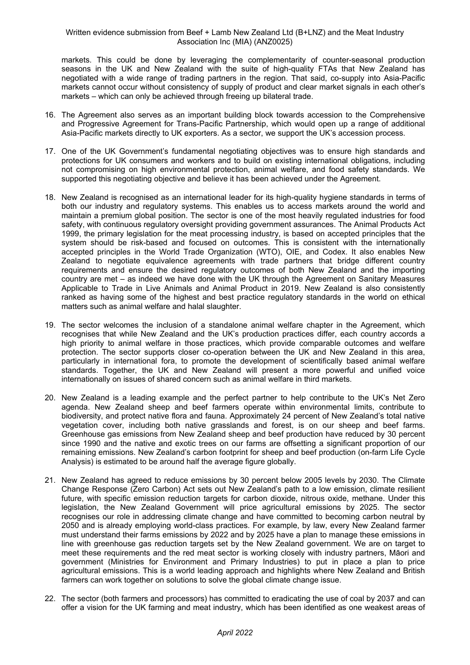#### Written evidence submission from Beef + Lamb New Zealand Ltd (B+LNZ) and the Meat Industry Association Inc (MIA) (ANZ0025)

markets. This could be done by leveraging the complementarity of counter-seasonal production seasons in the UK and New Zealand with the suite of high-quality FTAs that New Zealand has negotiated with a wide range of trading partners in the region. That said, co-supply into Asia-Pacific markets cannot occur without consistency of supply of product and clear market signals in each other's markets – which can only be achieved through freeing up bilateral trade.

- 16. The Agreement also serves as an important building block towards accession to the Comprehensive and Progressive Agreement for Trans-Pacific Partnership, which would open up a range of additional Asia-Pacific markets directly to UK exporters. As a sector, we support the UK's accession process.
- 17. One of the UK Government's fundamental negotiating objectives was to ensure high standards and protections for UK consumers and workers and to build on existing international obligations, including not compromising on high environmental protection, animal welfare, and food safety standards. We supported this negotiating objective and believe it has been achieved under the Agreement.
- 18. New Zealand is recognised as an international leader for its high-quality hygiene standards in terms of both our industry and regulatory systems. This enables us to access markets around the world and maintain a premium global position. The sector is one of the most heavily regulated industries for food safety, with continuous regulatory oversight providing government assurances. The Animal Products Act 1999, the primary legislation for the meat processing industry, is based on accepted principles that the system should be risk-based and focused on outcomes. This is consistent with the internationally accepted principles in the World Trade Organization (WTO), OIE, and Codex. It also enables New Zealand to negotiate equivalence agreements with trade partners that bridge different country requirements and ensure the desired regulatory outcomes of both New Zealand and the importing country are met – as indeed we have done with the UK through the Agreement on Sanitary Measures Applicable to Trade in Live Animals and Animal Product in 2019. New Zealand is also consistently ranked as having some of the highest and best practice regulatory standards in the world on ethical matters such as animal welfare and halal slaughter.
- 19. The sector welcomes the inclusion of a standalone animal welfare chapter in the Agreement, which recognises that while New Zealand and the UK's production practices differ, each country accords a high priority to animal welfare in those practices, which provide comparable outcomes and welfare protection. The sector supports closer co-operation between the UK and New Zealand in this area, particularly in international fora, to promote the development of scientifically based animal welfare standards. Together, the UK and New Zealand will present a more powerful and unified voice internationally on issues of shared concern such as animal welfare in third markets.
- 20. New Zealand is a leading example and the perfect partner to help contribute to the UK's Net Zero agenda. New Zealand sheep and beef farmers operate within environmental limits, contribute to biodiversity, and protect native flora and fauna. Approximately 24 percent of New Zealand's total native vegetation cover, including both native grasslands and forest, is on our sheep and beef farms. Greenhouse gas emissions from New Zealand sheep and beef production have reduced by 30 percent since 1990 and the native and exotic trees on our farms are offsetting a significant proportion of our remaining emissions. New Zealand's carbon footprint for sheep and beef production (on-farm Life Cycle Analysis) is estimated to be around half the average figure globally.
- 21. New Zealand has agreed to reduce emissions by 30 percent below 2005 levels by 2030. The Climate Change Response (Zero Carbon) Act sets out New Zealand's path to a low emission, climate resilient future, with specific emission reduction targets for carbon dioxide, nitrous oxide, methane. Under this legislation, the New Zealand Government will price agricultural emissions by 2025. The sector recognises our role in addressing climate change and have committed to becoming carbon neutral by 2050 and is already employing world-class practices. For example, by law, every New Zealand farmer must understand their farms emissions by 2022 and by 2025 have a plan to manage these emissions in line with greenhouse gas reduction targets set by the New Zealand government. We are on target to meet these requirements and the red meat sector is working closely with industry partners, Māori and government (Ministries for Environment and Primary Industries) to put in place a plan to price agricultural emissions. This is a world leading approach and highlights where New Zealand and British farmers can work together on solutions to solve the global climate change issue.
- 22. The sector (both farmers and processors) has committed to eradicating the use of coal by 2037 and can offer a vision for the UK farming and meat industry, which has been identified as one weakest areas of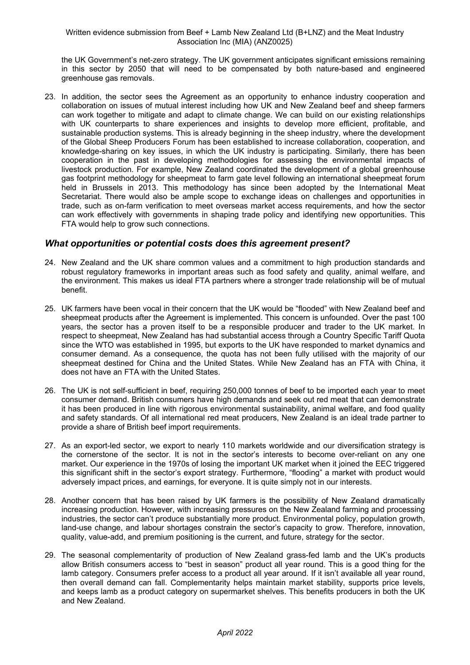#### Written evidence submission from Beef + Lamb New Zealand Ltd (B+LNZ) and the Meat Industry Association Inc (MIA) (ANZ0025)

the UK Government's net-zero strategy. The UK government anticipates significant emissions remaining in this sector by 2050 that will need to be compensated by both nature-based and engineered greenhouse gas removals.

23. In addition, the sector sees the Agreement as an opportunity to enhance industry cooperation and collaboration on issues of mutual interest including how UK and New Zealand beef and sheep farmers can work together to mitigate and adapt to climate change. We can build on our existing relationships with UK counterparts to share experiences and insights to develop more efficient, profitable, and sustainable production systems. This is already beginning in the sheep industry, where the development of the Global Sheep Producers Forum has been established to increase collaboration, cooperation, and knowledge-sharing on key issues, in which the UK industry is participating. Similarly, there has been cooperation in the past in developing methodologies for assessing the environmental impacts of livestock production. For example, New Zealand coordinated the development of a global greenhouse gas footprint methodology for sheepmeat to farm gate level following an international sheepmeat forum held in Brussels in 2013. This methodology has since been adopted by the International Meat Secretariat. There would also be ample scope to exchange ideas on challenges and opportunities in trade, such as on-farm verification to meet overseas market access requirements, and how the sector can work effectively with governments in shaping trade policy and identifying new opportunities. This FTA would help to grow such connections.

### *What opportunities or potential costs does this agreement present?*

- 24. New Zealand and the UK share common values and a commitment to high production standards and robust regulatory frameworks in important areas such as food safety and quality, animal welfare, and the environment. This makes us ideal FTA partners where a stronger trade relationship will be of mutual benefit.
- 25. UK farmers have been vocal in their concern that the UK would be "flooded" with New Zealand beef and sheepmeat products after the Agreement is implemented. This concern is unfounded. Over the past 100 years, the sector has a proven itself to be a responsible producer and trader to the UK market. In respect to sheepmeat, New Zealand has had substantial access through a Country Specific Tariff Quota since the WTO was established in 1995, but exports to the UK have responded to market dynamics and consumer demand. As a consequence, the quota has not been fully utilised with the majority of our sheepmeat destined for China and the United States. While New Zealand has an FTA with China, it does not have an FTA with the United States.
- 26. The UK is not self-sufficient in beef, requiring 250,000 tonnes of beef to be imported each year to meet consumer demand. British consumers have high demands and seek out red meat that can demonstrate it has been produced in line with rigorous environmental sustainability, animal welfare, and food quality and safety standards. Of all international red meat producers, New Zealand is an ideal trade partner to provide a share of British beef import requirements.
- 27. As an export-led sector, we export to nearly 110 markets worldwide and our diversification strategy is the cornerstone of the sector. It is not in the sector's interests to become over-reliant on any one market. Our experience in the 1970s of losing the important UK market when it joined the EEC triggered this significant shift in the sector's export strategy. Furthermore, "flooding" a market with product would adversely impact prices, and earnings, for everyone. It is quite simply not in our interests.
- 28. Another concern that has been raised by UK farmers is the possibility of New Zealand dramatically increasing production. However, with increasing pressures on the New Zealand farming and processing industries, the sector can't produce substantially more product. Environmental policy, population growth, land-use change, and labour shortages constrain the sector's capacity to grow. Therefore, innovation, quality, value-add, and premium positioning is the current, and future, strategy for the sector.
- 29. The seasonal complementarity of production of New Zealand grass-fed lamb and the UK's products allow British consumers access to "best in season" product all year round. This is a good thing for the lamb category. Consumers prefer access to a product all year around. If it isn't available all year round, then overall demand can fall. Complementarity helps maintain market stability, supports price levels, and keeps lamb as a product category on supermarket shelves. This benefits producers in both the UK and New Zealand.